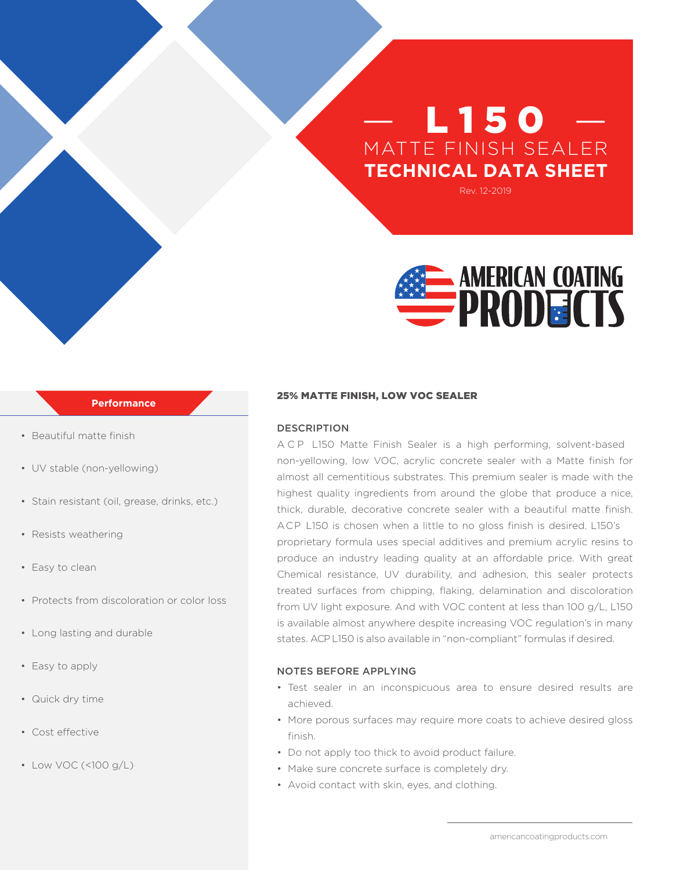# **L150** MATTE FINISH SEALER **TECHNICAL DATA SHEET**

Rev. 12-2019



## **Performance**

- Beautiful matte finish
- UV stable (non-yellowing)
- Stain resistant (oil, grease, drinks, etc.)
- Resists weathering
- Easy to clean
- Protects from discoloration or color loss
- Long lasting and durable
- Easy to apply
- Quick dry time
- Cost effective
- Low VOC (<100 g/L)

#### 25% MATTE FINISH, LOW VOC SEALER

### DESCRIPTION

ACP L150 Matte Finish Sealer is a high performing, solvent-based non-yellowing, low VOC, acrylic concrete sealer with a Matte finish for almost all cementitious substrates. This premium sealer is made with the highest quality ingredients from around the globe that produce a nice, thick, durable, decorative concrete sealer with a beautiful matte finish. ACP L150 is chosen when a little to no gloss finish is desired. L150's proprietary formula uses special additives and premium acrylic resins to produce an industry leading quality at an affordable price. With great Chemical resistance, UV durability, and adhesion, this sealer protects treated surfaces from chipping, flaking, delamination and discoloration from UV light exposure. And with VOC content at less than 100 g/L, L150 is available almost anywhere despite increasing VOC regulation's in many states. ACP L150 is also available in "non-compliant" formulas if desired.

### NOTES BEFORE APPLYING

- Test sealer in an inconspicuous area to ensure desired results are achieved.
- More porous surfaces may require more coats to achieve desired gloss finish.
- Do not apply too thick to avoid product failure.
- Make sure concrete surface is completely dry.
- Avoid contact with skin, eyes, and clothing.